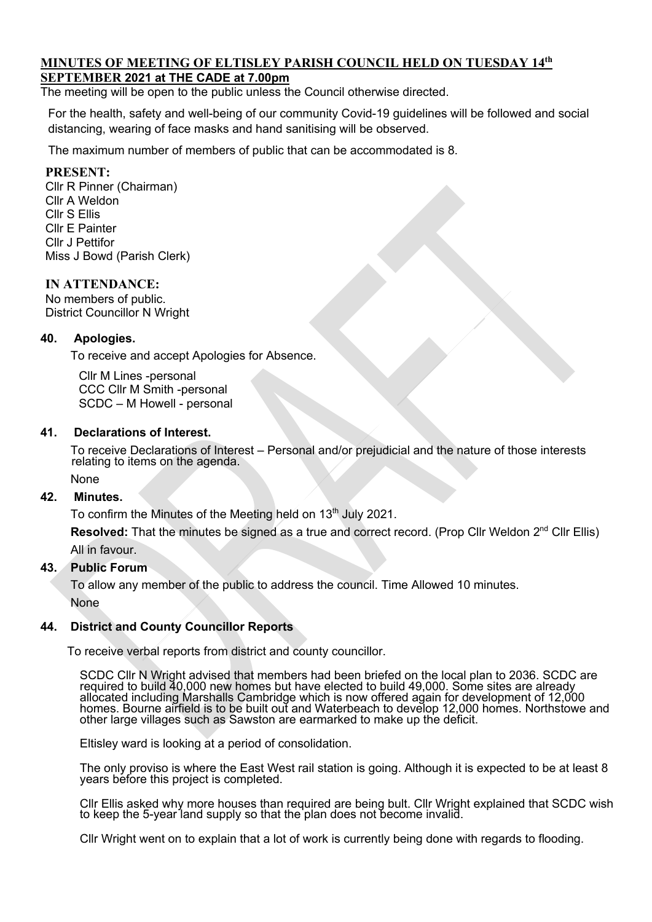### **MINUTES OF MEETING OF ELTISLEY PARISH COUNCIL HELD ON TUESDAY 14th SEPTEMBER 2021 at THE CADE at 7.00pm**

The meeting will be open to the public unless the Council otherwise directed.

For the health, safety and well-being of our community Covid-19 guidelines will be followed and social distancing, wearing of face masks and hand sanitising will be observed.

The maximum number of members of public that can be accommodated is 8.

### **PRESENT:**

Cllr R Pinner (Chairman) Cllr A Weldon Cllr S Ellis Cllr E Painter Cllr J Pettifor Miss J Bowd (Parish Clerk)

#### **IN ATTENDANCE:**

No members of public. District Councillor N Wright

#### **40. Apologies.**

To receive and accept Apologies for Absence.

 Cllr M Lines -personal CCC Cllr M Smith -personal SCDC – M Howell - personal

#### **41. Declarations of Interest.**

To receive Declarations of Interest – Personal and/or prejudicial and the nature of those interests relating to items on the agenda.

# None

# **42. Minutes.**

To confirm the Minutes of the Meeting held on  $13<sup>th</sup>$  July 2021.

**Resolved:** That the minutes be signed as a true and correct record. (Prop Cllr Weldon 2<sup>nd</sup> Cllr Ellis) All in favour.

#### **43. Public Forum**

 To allow any member of the public to address the council. Time Allowed 10 minutes. None

#### **44. District and County Councillor Reports**

To receive verbal reports from district and county councillor.

SCDC Cllr N Wright advised that members had been briefed on the local plan to 2036. SCDC are required to build 40,000 new homes but have elected to build 49,000. Some sites are already<br>allocated including Marshalls Cambridge which is now offered again for development of 12,000 homes. Bourne airfield is to be built out and Waterbeach to develop 12,000 homes. Northstowe and other large villages such as Sawston are earmarked to make up the deficit.

Eltisley ward is looking at a period of consolidation.

The only proviso is where the East West rail station is going. Although it is expected to be at least 8 years before this project is completed.

Cllr Ellis asked why more houses than required are being bult. Cllr Wright explained that SCDC wish to keep the 5-year land supply so that the plan does not become invalid.

Cllr Wright went on to explain that a lot of work is currently being done with regards to flooding.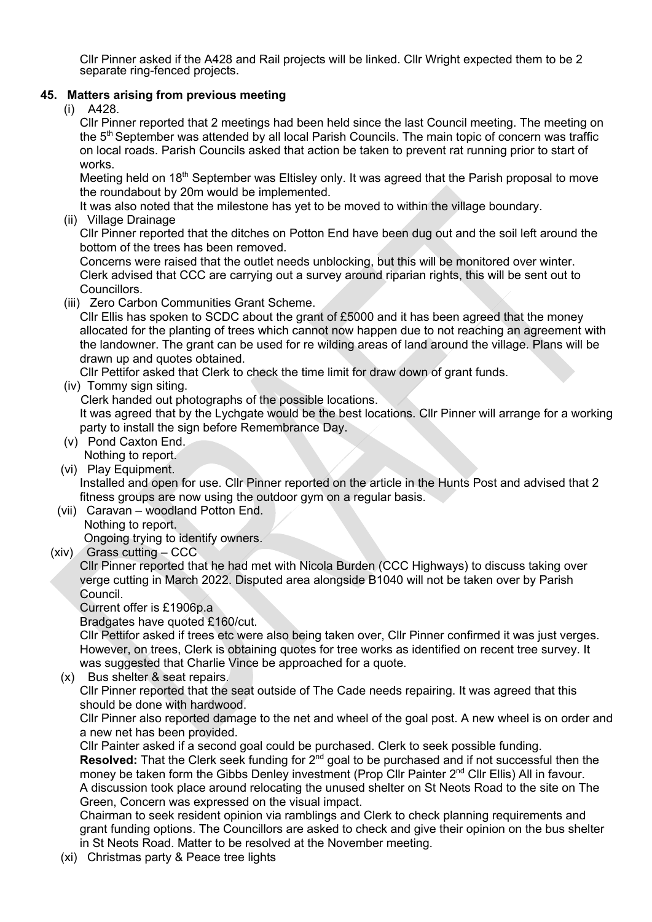Cllr Pinner asked if the A428 and Rail projects will be linked. Cllr Wright expected them to be 2 separate ring-fenced projects.

### **45. Matters arising from previous meeting**

(i) A428.

Cllr Pinner reported that 2 meetings had been held since the last Council meeting. The meeting on the 5<sup>th</sup> September was attended by all local Parish Councils. The main topic of concern was traffic on local roads. Parish Councils asked that action be taken to prevent rat running prior to start of works.

Meeting held on 18<sup>th</sup> September was Eltisley only. It was agreed that the Parish proposal to move the roundabout by 20m would be implemented.

It was also noted that the milestone has yet to be moved to within the village boundary.

(ii) Village Drainage

Cllr Pinner reported that the ditches on Potton End have been dug out and the soil left around the bottom of the trees has been removed.

Concerns were raised that the outlet needs unblocking, but this will be monitored over winter. Clerk advised that CCC are carrying out a survey around riparian rights, this will be sent out to Councillors.

(iii) Zero Carbon Communities Grant Scheme.

Cllr Ellis has spoken to SCDC about the grant of £5000 and it has been agreed that the money allocated for the planting of trees which cannot now happen due to not reaching an agreement with the landowner. The grant can be used for re wilding areas of land around the village. Plans will be drawn up and quotes obtained.

Cllr Pettifor asked that Clerk to check the time limit for draw down of grant funds.

(iv) Tommy sign siting.

Clerk handed out photographs of the possible locations.

It was agreed that by the Lychgate would be the best locations. Cllr Pinner will arrange for a working party to install the sign before Remembrance Day.

- (v) Pond Caxton End. Nothing to report.
- (vi) Play Equipment.

Installed and open for use. Cllr Pinner reported on the article in the Hunts Post and advised that 2 fitness groups are now using the outdoor gym on a regular basis.

- (vii) Caravan woodland Potton End. Nothing to report. Ongoing trying to identify owners.
- (xiv) Grass cutting CCC

Cllr Pinner reported that he had met with Nicola Burden (CCC Highways) to discuss taking over verge cutting in March 2022. Disputed area alongside B1040 will not be taken over by Parish Council.

Current offer is £1906p.a

Bradgates have quoted £160/cut.

Cllr Pettifor asked if trees etc were also being taken over, Cllr Pinner confirmed it was just verges. However, on trees, Clerk is obtaining quotes for tree works as identified on recent tree survey. It was suggested that Charlie Vince be approached for a quote.

(x) Bus shelter & seat repairs. Cllr Pinner reported that the seat outside of The Cade needs repairing. It was agreed that this should be done with hardwood.

Cllr Pinner also reported damage to the net and wheel of the goal post. A new wheel is on order and a new net has been provided.

Cllr Painter asked if a second goal could be purchased. Clerk to seek possible funding. **Resolved:** That the Clerk seek funding for 2<sup>nd</sup> goal to be purchased and if not successful then the money be taken form the Gibbs Denley investment (Prop Cllr Painter 2<sup>nd</sup> Cllr Ellis) All in favour. A discussion took place around relocating the unused shelter on St Neots Road to the site on The Green, Concern was expressed on the visual impact.

Chairman to seek resident opinion via ramblings and Clerk to check planning requirements and grant funding options. The Councillors are asked to check and give their opinion on the bus shelter in St Neots Road. Matter to be resolved at the November meeting.

(xi) Christmas party & Peace tree lights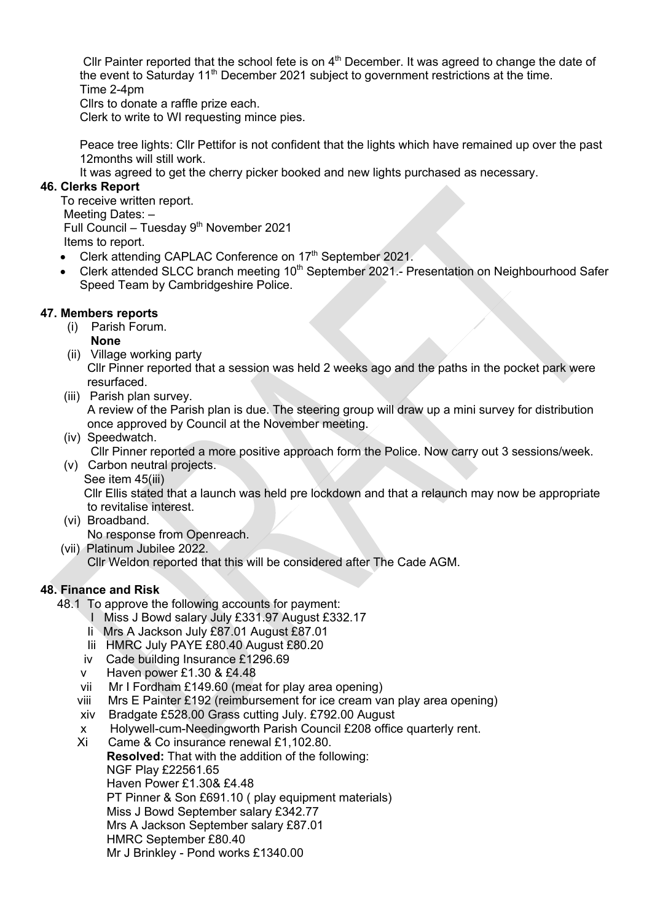Cllr Painter reported that the school fete is on  $4<sup>th</sup>$  December. It was agreed to change the date of the event to Saturday  $11<sup>th</sup>$  December 2021 subject to government restrictions at the time. Time 2-4pm

Cllrs to donate a raffle prize each.

Clerk to write to WI requesting mince pies.

Peace tree lights: Cllr Pettifor is not confident that the lights which have remained up over the past 12months will still work.

It was agreed to get the cherry picker booked and new lights purchased as necessary.

### **46. Clerks Report**

To receive written report. Meeting Dates: – Full Council – Tuesday 9<sup>th</sup> November 2021 Items to report.

• Clerk attending CAPLAC Conference on 17<sup>th</sup> September 2021.

• Clerk attended SLCC branch meeting 10<sup>th</sup> September 2021.- Presentation on Neighbourhood Safer Speed Team by Cambridgeshire Police.

## **47. Members reports**

- (i) Parish Forum.
	- **None**
- (ii) Village working party

 Cllr Pinner reported that a session was held 2 weeks ago and the paths in the pocket park were resurfaced.

(iii) Parish plan survey.

 A review of the Parish plan is due. The steering group will draw up a mini survey for distribution once approved by Council at the November meeting.

(iv) Speedwatch.

Cllr Pinner reported a more positive approach form the Police. Now carry out 3 sessions/week.

 (v) Carbon neutral projects. See item 45(iii)

 Cllr Ellis stated that a launch was held pre lockdown and that a relaunch may now be appropriate to revitalise interest.

- (vi) Broadband. No response from Openreach.
- (vii) Platinum Jubilee 2022. Cllr Weldon reported that this will be considered after The Cade AGM.

### **48. Finance and Risk**

- 48.1 To approve the following accounts for payment:
	- I Miss J Bowd salary July £331.97 August £332.17
	- Ii Mrs A Jackson July £87.01 August £87.01
	- Iii HMRC July PAYE £80.40 August £80.20
	- iv Cade building Insurance £1296.69
	- v Haven power £1.30 & £4.48
	- vii Mr I Fordham £149.60 (meat for play area opening)
	- viii Mrs E Painter £192 (reimbursement for ice cream van play area opening)
	- xiv Bradgate £528.00 Grass cutting July. £792.00 August
	- x Holywell-cum-Needingworth Parish Council £208 office quarterly rent.
	- Xi Came & Co insurance renewal £1,102.80.

**Resolved:** That with the addition of the following:

NGF Play £22561.65

Haven Power £1.30& £4.48

PT Pinner & Son £691.10 ( play equipment materials)

Miss J Bowd September salary £342.77

Mrs A Jackson September salary £87.01

HMRC September £80.40

Mr J Brinkley - Pond works £1340.00